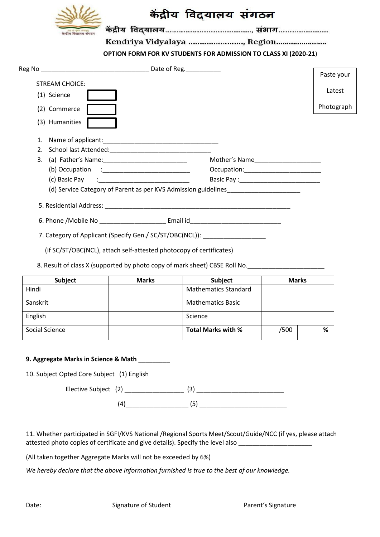

# केंद्रीय विद्यालय संगठन

Kendriya Vidyalaya ......................., Region........................

**OPTION FORM FOR KV STUDENTS FOR ADMISSION TO CLASS XI (2020-21**)

|                                                                     | Reg No Date of Reg.                                                                                                                                                                                                            |                                       |            |  |  |
|---------------------------------------------------------------------|--------------------------------------------------------------------------------------------------------------------------------------------------------------------------------------------------------------------------------|---------------------------------------|------------|--|--|
|                                                                     |                                                                                                                                                                                                                                |                                       | Paste your |  |  |
|                                                                     | <b>STREAM CHOICE:</b>                                                                                                                                                                                                          |                                       |            |  |  |
|                                                                     | (1) Science                                                                                                                                                                                                                    |                                       | Latest     |  |  |
|                                                                     | (2) Commerce                                                                                                                                                                                                                   |                                       | Photograph |  |  |
|                                                                     | (3) Humanities                                                                                                                                                                                                                 |                                       |            |  |  |
|                                                                     |                                                                                                                                                                                                                                |                                       |            |  |  |
|                                                                     |                                                                                                                                                                                                                                |                                       |            |  |  |
|                                                                     |                                                                                                                                                                                                                                | Mother's Name________________________ |            |  |  |
|                                                                     |                                                                                                                                                                                                                                |                                       |            |  |  |
|                                                                     | (c) Basic Pay (c) and the control of the control of the control of the control of the control of the control of the control of the control of the control of the control of the control of the control of the control of the c |                                       |            |  |  |
|                                                                     | (d) Service Category of Parent as per KVS Admission guidelines___________________                                                                                                                                              |                                       |            |  |  |
|                                                                     |                                                                                                                                                                                                                                |                                       |            |  |  |
|                                                                     |                                                                                                                                                                                                                                |                                       |            |  |  |
| 7. Category of Applicant (Specify Gen./ SC/ST/OBC(NCL)):            |                                                                                                                                                                                                                                |                                       |            |  |  |
| (if SC/ST/OBC(NCL), attach self-attested photocopy of certificates) |                                                                                                                                                                                                                                |                                       |            |  |  |

8. Result of class X (supported by photo copy of mark sheet) CBSE Roll No.

| <b>Subject</b> | <b>Marks</b> | Subject                     | <b>Marks</b> |   |
|----------------|--------------|-----------------------------|--------------|---|
| Hindi          |              | <b>Mathematics Standard</b> |              |   |
| Sanskrit       |              | <b>Mathematics Basic</b>    |              |   |
| English        |              | Science                     |              |   |
| Social Science |              | <b>Total Marks with %</b>   | /500         | % |

#### **9. Aggregate Marks in Science & Math** \_\_\_\_\_\_\_\_\_

10. Subject Opted Core Subject (1) English

Elective Subject (2) \_\_\_\_\_\_\_\_\_\_\_\_\_\_\_\_\_ (3) \_\_\_\_\_\_\_\_\_\_\_\_\_\_\_\_\_\_\_\_\_\_\_\_\_

(4)\_\_\_\_\_\_\_\_\_\_\_\_\_\_\_\_\_\_ (5) \_\_\_\_\_\_\_\_\_\_\_\_\_\_\_\_\_\_\_\_\_\_\_\_\_

11. Whether participated in SGFI/KVS National /Regional Sports Meet/Scout/Guide/NCC (if yes, please attach attested photo copies of certificate and give details). Specify the level also **with the set of the set of the s** 

(All taken together Aggregate Marks will not be exceeded by 6%)

*We hereby declare that the above information furnished is true to the best of our knowledge.*